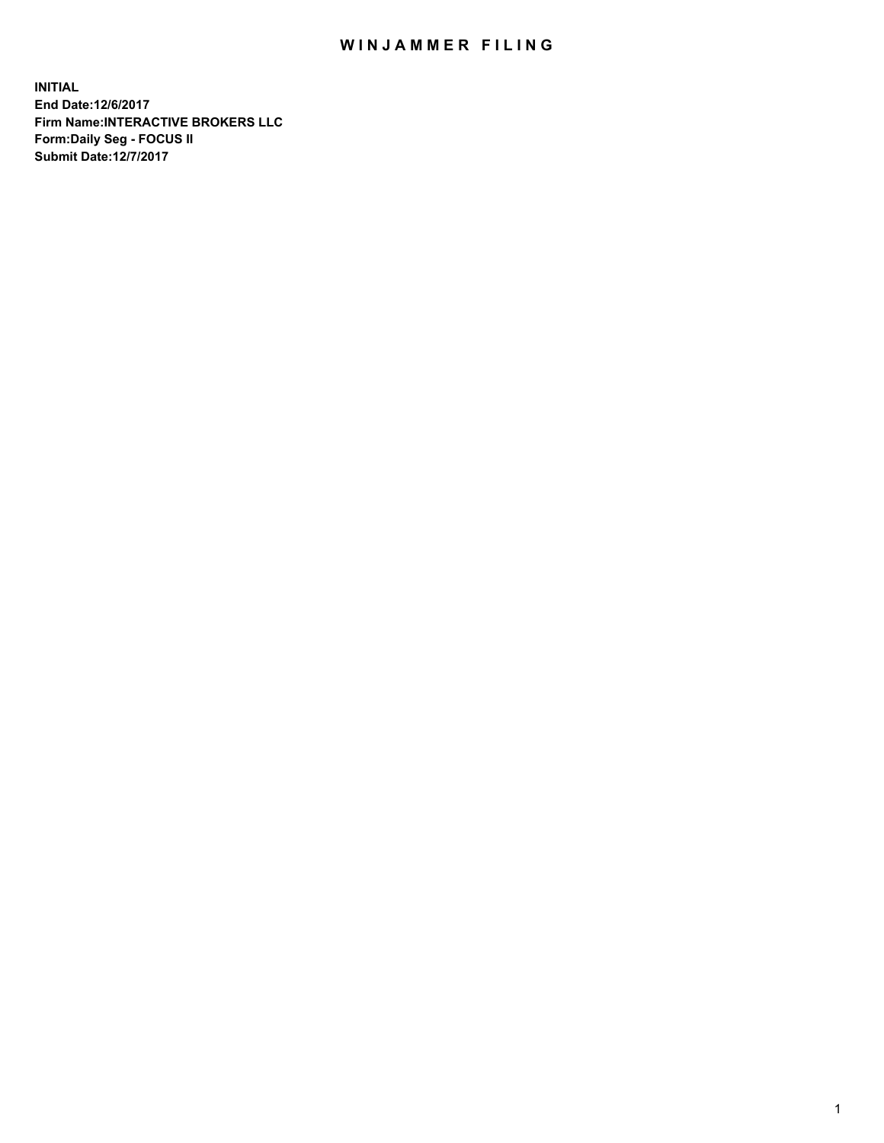## WIN JAMMER FILING

**INITIAL End Date:12/6/2017 Firm Name:INTERACTIVE BROKERS LLC Form:Daily Seg - FOCUS II Submit Date:12/7/2017**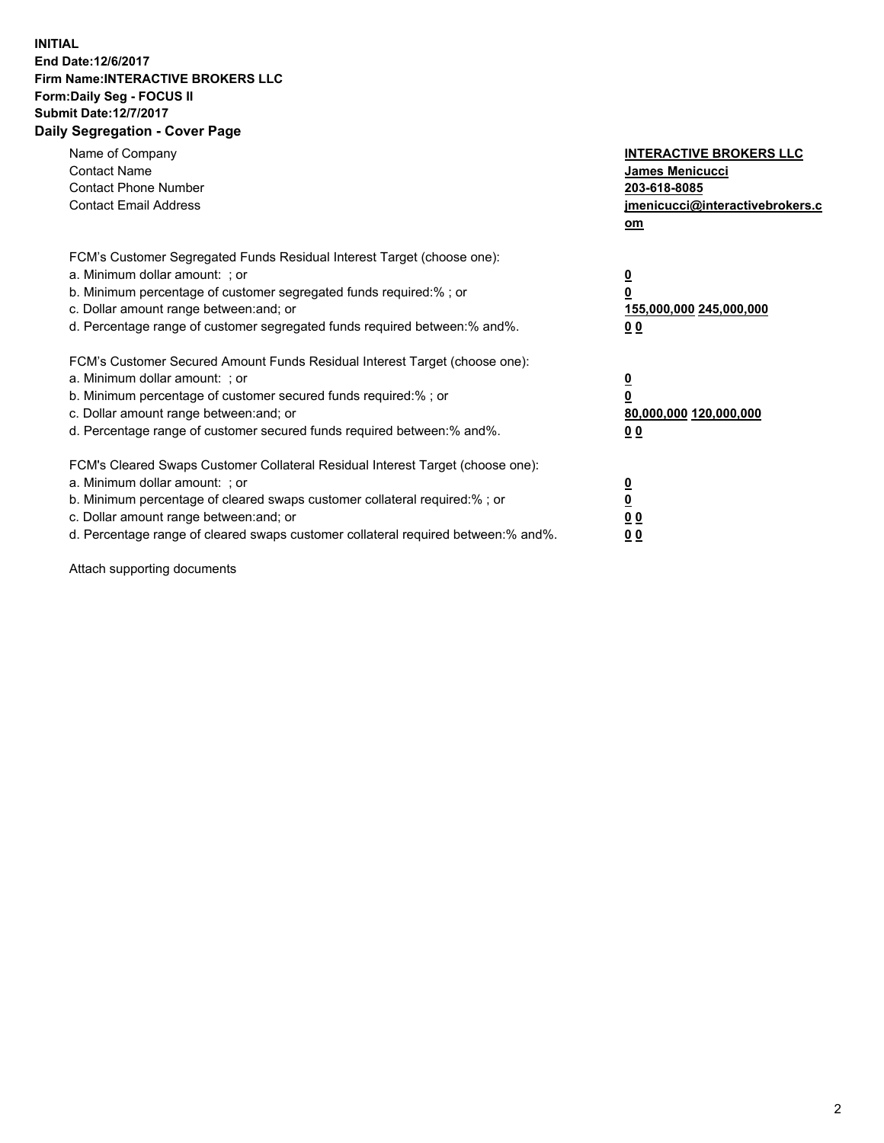## **INITIAL End Date:12/6/2017 Firm Name:INTERACTIVE BROKERS LLC Form:Daily Seg - FOCUS II Submit Date:12/7/2017 Daily Segregation - Cover Page**

| Name of Company<br><b>Contact Name</b><br><b>Contact Phone Number</b><br><b>Contact Email Address</b>                                                                                                                                                                                                                          | <b>INTERACTIVE BROKERS LLC</b><br><b>James Menicucci</b><br>203-618-8085<br>jmenicucci@interactivebrokers.c<br>om |
|--------------------------------------------------------------------------------------------------------------------------------------------------------------------------------------------------------------------------------------------------------------------------------------------------------------------------------|-------------------------------------------------------------------------------------------------------------------|
| FCM's Customer Segregated Funds Residual Interest Target (choose one):<br>a. Minimum dollar amount: ; or<br>b. Minimum percentage of customer segregated funds required:%; or<br>c. Dollar amount range between: and; or<br>d. Percentage range of customer segregated funds required between:% and%.                          | $\overline{\mathbf{0}}$<br>0<br>155,000,000 245,000,000<br>0 <sub>0</sub>                                         |
| FCM's Customer Secured Amount Funds Residual Interest Target (choose one):<br>a. Minimum dollar amount: ; or<br>b. Minimum percentage of customer secured funds required:%; or<br>c. Dollar amount range between: and; or<br>d. Percentage range of customer secured funds required between: % and %.                          | $\overline{\mathbf{0}}$<br>0<br>80,000,000 120,000,000<br>0 <sub>0</sub>                                          |
| FCM's Cleared Swaps Customer Collateral Residual Interest Target (choose one):<br>a. Minimum dollar amount: ; or<br>b. Minimum percentage of cleared swaps customer collateral required:% ; or<br>c. Dollar amount range between: and; or<br>d. Percentage range of cleared swaps customer collateral required between:% and%. | $\overline{\mathbf{0}}$<br>$\overline{\mathbf{0}}$<br>0 <sub>0</sub><br><u>00</u>                                 |

Attach supporting documents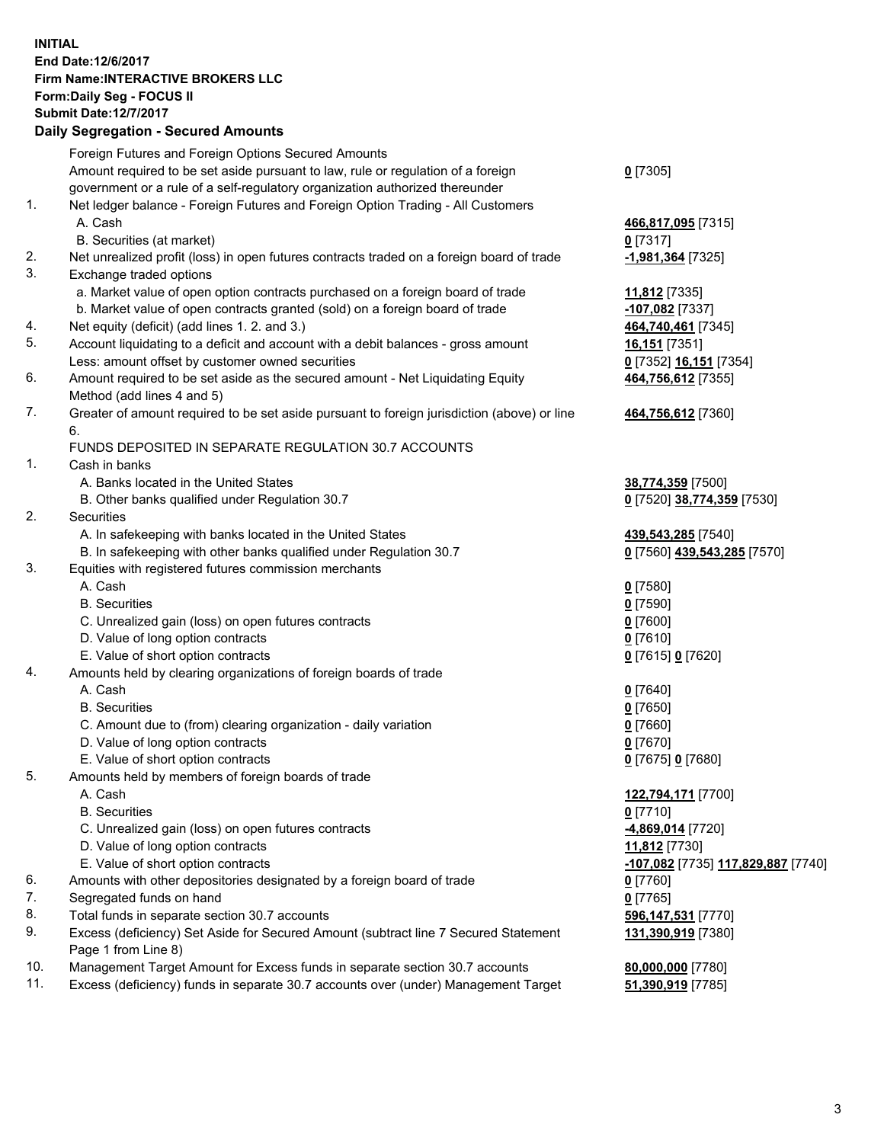## **INITIAL End Date:12/6/2017 Firm Name:INTERACTIVE BROKERS LLC Form:Daily Seg - FOCUS II Submit Date:12/7/2017 Daily Segregation - Secured Amounts**

|                | Daily Ocglegation - Occured Aniounts                                                                       |                                    |
|----------------|------------------------------------------------------------------------------------------------------------|------------------------------------|
|                | Foreign Futures and Foreign Options Secured Amounts                                                        |                                    |
|                | Amount required to be set aside pursuant to law, rule or regulation of a foreign                           | $0$ [7305]                         |
|                | government or a rule of a self-regulatory organization authorized thereunder                               |                                    |
| 1.             | Net ledger balance - Foreign Futures and Foreign Option Trading - All Customers                            |                                    |
|                | A. Cash                                                                                                    | 466,817,095 [7315]                 |
|                | B. Securities (at market)                                                                                  | $0$ [7317]                         |
| 2.             | Net unrealized profit (loss) in open futures contracts traded on a foreign board of trade                  | -1,981,364 [7325]                  |
| 3.             | Exchange traded options                                                                                    |                                    |
|                | a. Market value of open option contracts purchased on a foreign board of trade                             | 11,812 [7335]                      |
|                | b. Market value of open contracts granted (sold) on a foreign board of trade                               | -107,082 [7337]                    |
| 4.             | Net equity (deficit) (add lines 1.2. and 3.)                                                               | 464,740,461 [7345]                 |
| 5.             | Account liquidating to a deficit and account with a debit balances - gross amount                          | 16,151 [7351]                      |
|                | Less: amount offset by customer owned securities                                                           | 0 [7352] 16,151 [7354]             |
| 6.             | Amount required to be set aside as the secured amount - Net Liquidating Equity                             | 464,756,612 [7355]                 |
|                | Method (add lines 4 and 5)                                                                                 |                                    |
| 7.             | Greater of amount required to be set aside pursuant to foreign jurisdiction (above) or line                | 464,756,612 [7360]                 |
|                | 6.                                                                                                         |                                    |
|                | FUNDS DEPOSITED IN SEPARATE REGULATION 30.7 ACCOUNTS                                                       |                                    |
| $\mathbf{1}$ . | Cash in banks                                                                                              |                                    |
|                | A. Banks located in the United States                                                                      | 38,774,359 [7500]                  |
|                | B. Other banks qualified under Regulation 30.7                                                             | 0 [7520] 38,774,359 [7530]         |
| 2.             | Securities                                                                                                 |                                    |
|                | A. In safekeeping with banks located in the United States                                                  | 439,543,285 [7540]                 |
|                | B. In safekeeping with other banks qualified under Regulation 30.7                                         | 0 [7560] 439,543,285 [7570]        |
| 3.             | Equities with registered futures commission merchants                                                      |                                    |
|                | A. Cash                                                                                                    | $0$ [7580]                         |
|                | <b>B.</b> Securities                                                                                       | $0$ [7590]                         |
|                | C. Unrealized gain (loss) on open futures contracts                                                        | $0$ [7600]                         |
|                | D. Value of long option contracts                                                                          | $0$ [7610]                         |
|                | E. Value of short option contracts                                                                         | 0 [7615] 0 [7620]                  |
| 4.             | Amounts held by clearing organizations of foreign boards of trade                                          |                                    |
|                | A. Cash                                                                                                    | $0$ [7640]                         |
|                | <b>B.</b> Securities                                                                                       | $0$ [7650]                         |
|                | C. Amount due to (from) clearing organization - daily variation                                            | 0 [7660]                           |
|                | D. Value of long option contracts                                                                          | $0$ [7670]                         |
|                | E. Value of short option contracts                                                                         | 0 [7675] 0 [7680]                  |
| 5.             | Amounts held by members of foreign boards of trade                                                         |                                    |
|                | A. Cash                                                                                                    | 122,794,171 [7700]                 |
|                | <b>B.</b> Securities                                                                                       | $0$ [7710]                         |
|                | C. Unrealized gain (loss) on open futures contracts                                                        | 4,869,014 [7720]                   |
|                | D. Value of long option contracts                                                                          | 11,812 [7730]                      |
|                | E. Value of short option contracts                                                                         | -107,082 [7735] 117,829,887 [7740] |
| 6.             | Amounts with other depositories designated by a foreign board of trade                                     | 0 [7760]                           |
| 7.<br>8.       | Segregated funds on hand                                                                                   | $0$ [7765]                         |
|                | Total funds in separate section 30.7 accounts                                                              | 596,147,531 [7770]                 |
| 9.             | Excess (deficiency) Set Aside for Secured Amount (subtract line 7 Secured Statement<br>Page 1 from Line 8) | 131,390,919 [7380]                 |
| 10.            | Management Target Amount for Excess funds in separate section 30.7 accounts                                | 80,000,000 [7780]                  |
| 11.            | Excess (deficiency) funds in separate 30.7 accounts over (under) Management Target                         | 51,390,919 [7785]                  |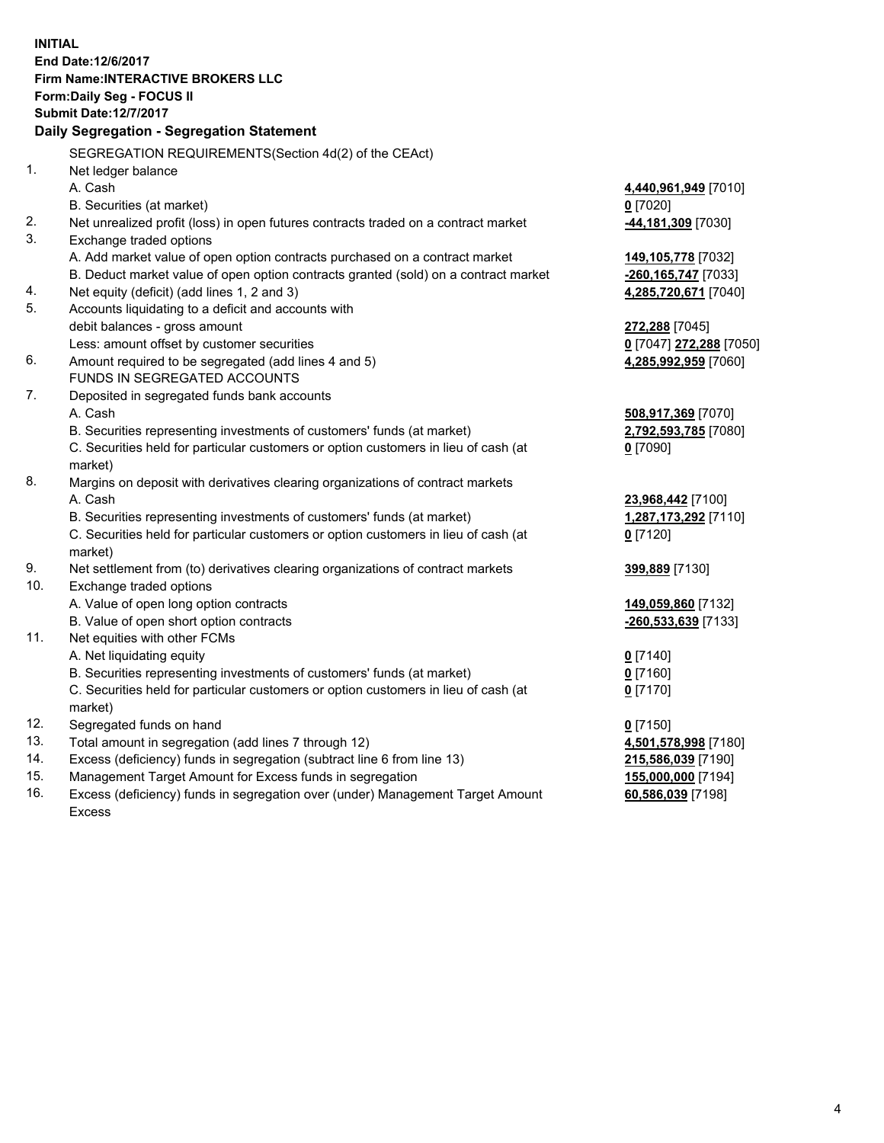**INITIAL End Date:12/6/2017 Firm Name:INTERACTIVE BROKERS LLC Form:Daily Seg - FOCUS II Submit Date:12/7/2017 Daily Segregation - Segregation Statement** SEGREGATION REQUIREMENTS(Section 4d(2) of the CEAct) 1. Net ledger balance A. Cash **4,440,961,949** [7010] B. Securities (at market) **0** [7020] 2. Net unrealized profit (loss) in open futures contracts traded on a contract market **-44,181,309** [7030] 3. Exchange traded options A. Add market value of open option contracts purchased on a contract market **149,105,778** [7032] B. Deduct market value of open option contracts granted (sold) on a contract market **-260,165,747** [7033] 4. Net equity (deficit) (add lines 1, 2 and 3) **4,285,720,671** [7040] 5. Accounts liquidating to a deficit and accounts with debit balances - gross amount **272,288** [7045] Less: amount offset by customer securities **0** [7047] **272,288** [7050] 6. Amount required to be segregated (add lines 4 and 5) **4,285,992,959** [7060] FUNDS IN SEGREGATED ACCOUNTS 7. Deposited in segregated funds bank accounts A. Cash **508,917,369** [7070] B. Securities representing investments of customers' funds (at market) **2,792,593,785** [7080] C. Securities held for particular customers or option customers in lieu of cash (at market) **0** [7090] 8. Margins on deposit with derivatives clearing organizations of contract markets A. Cash **23,968,442** [7100] B. Securities representing investments of customers' funds (at market) **1,287,173,292** [7110] C. Securities held for particular customers or option customers in lieu of cash (at market) **0** [7120] 9. Net settlement from (to) derivatives clearing organizations of contract markets **399,889** [7130] 10. Exchange traded options A. Value of open long option contracts **149,059,860** [7132] B. Value of open short option contracts **-260,533,639** [7133] 11. Net equities with other FCMs A. Net liquidating equity **0** [7140] B. Securities representing investments of customers' funds (at market) **0** [7160] C. Securities held for particular customers or option customers in lieu of cash (at market) **0** [7170] 12. Segregated funds on hand **0** [7150] 13. Total amount in segregation (add lines 7 through 12) **4,501,578,998** [7180] 14. Excess (deficiency) funds in segregation (subtract line 6 from line 13) **215,586,039** [7190] 15. Management Target Amount for Excess funds in segregation **155,000,000** [7194]

16. Excess (deficiency) funds in segregation over (under) Management Target Amount Excess

**60,586,039** [7198]